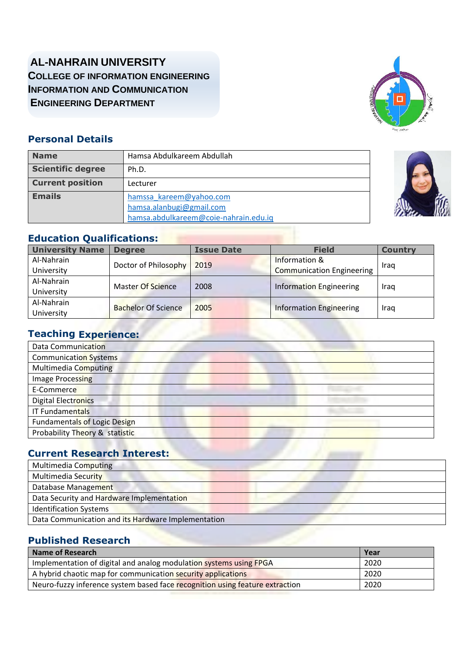### **AL-NAHRAIN UNIVERSITY COLLEGE OF INFORMATION ENGINEERING INFORMATION AND COMMUNICATION ENGINEERING DEPARTMENT**



#### **Personal Details**

| <b>Name</b>              | Hamsa Abdulkareem Abdullah                                                                   |  |
|--------------------------|----------------------------------------------------------------------------------------------|--|
| <b>Scientific degree</b> | Ph.D.                                                                                        |  |
| <b>Current position</b>  | Lecturer                                                                                     |  |
| <b>Emails</b>            | hamssa_kareem@yahoo.com<br>hamsa.alanbugi@gmail.com<br>hamsa.abdulkareem@coie-nahrain.edu.iq |  |



| <b>University Name</b> | <b>Degree</b>              | <b>Issue Date</b> | <b>Field</b>                     | <b>Country</b> |  |
|------------------------|----------------------------|-------------------|----------------------------------|----------------|--|
| Al-Nahrain             |                            | 2019              | Information &                    |                |  |
| University             | Doctor of Philosophy       |                   | <b>Communication Engineering</b> | Iraq           |  |
| Al-Nahrain             |                            |                   |                                  | Iraq           |  |
| University             | <b>Master Of Science</b>   | 2008              | <b>Information Engineering</b>   |                |  |
| Al-Nahrain             |                            |                   |                                  |                |  |
| University             | <b>Bachelor Of Science</b> | 2005              | <b>Information Engineering</b>   | Iraq           |  |

#### **Teaching Experience:**

| Data Communication                  |  |
|-------------------------------------|--|
| <b>Communication Systems</b>        |  |
| Multimedia Computing                |  |
| Image Processing                    |  |
| E-Commerce                          |  |
| <b>Digital Electronics</b>          |  |
| <b>IT Fundamentals</b>              |  |
| <b>Fundamentals of Logic Design</b> |  |
| Probability Theory & statistic      |  |

### **Current Research Interest:**

| Multimedia Computing                               |
|----------------------------------------------------|
| <b>Multimedia Security</b>                         |
| Database Management                                |
| Data Security and Hardware Implementation          |
| <b>Identification Systems</b>                      |
| Data Communication and its Hardware Implementation |

#### **Published Research**

| Name of Research                                                             | Year |
|------------------------------------------------------------------------------|------|
| Implementation of digital and analog modulation systems using FPGA           | 2020 |
| A hybrid chaotic map for communication security applications                 | 2020 |
| Neuro-fuzzy inference system based face recognition using feature extraction | 2020 |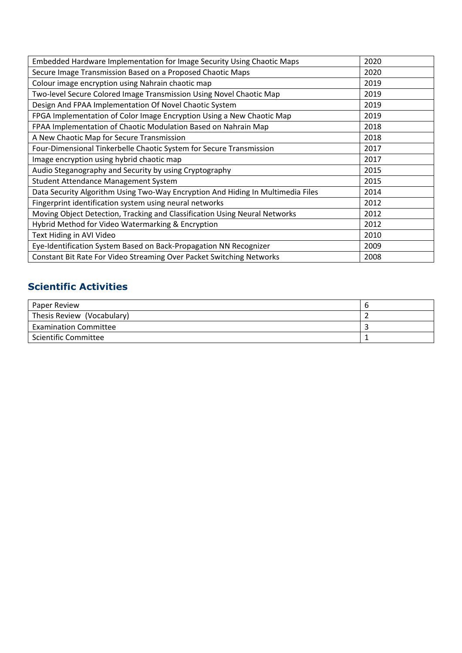| Embedded Hardware Implementation for Image Security Using Chaotic Maps          | 2020 |
|---------------------------------------------------------------------------------|------|
| Secure Image Transmission Based on a Proposed Chaotic Maps                      | 2020 |
| Colour image encryption using Nahrain chaotic map                               | 2019 |
| Two-level Secure Colored Image Transmission Using Novel Chaotic Map             | 2019 |
| Design And FPAA Implementation Of Novel Chaotic System                          | 2019 |
| FPGA Implementation of Color Image Encryption Using a New Chaotic Map           | 2019 |
| FPAA Implementation of Chaotic Modulation Based on Nahrain Map                  | 2018 |
| A New Chaotic Map for Secure Transmission                                       | 2018 |
| Four-Dimensional Tinkerbelle Chaotic System for Secure Transmission             | 2017 |
| Image encryption using hybrid chaotic map                                       | 2017 |
| Audio Steganography and Security by using Cryptography                          | 2015 |
| Student Attendance Management System                                            | 2015 |
| Data Security Algorithm Using Two-Way Encryption And Hiding In Multimedia Files | 2014 |
| Fingerprint identification system using neural networks                         | 2012 |
| Moving Object Detection, Tracking and Classification Using Neural Networks      | 2012 |
| Hybrid Method for Video Watermarking & Encryption                               | 2012 |
| Text Hiding in AVI Video<br>2010                                                |      |
| Eye-Identification System Based on Back-Propagation NN Recognizer<br>2009       |      |
| Constant Bit Rate For Video Streaming Over Packet Switching Networks            | 2008 |

### **Scientific Activities**

| Paper Review                 | O |
|------------------------------|---|
| Thesis Review (Vocabulary)   |   |
| <b>Examination Committee</b> |   |
| <b>Scientific Committee</b>  |   |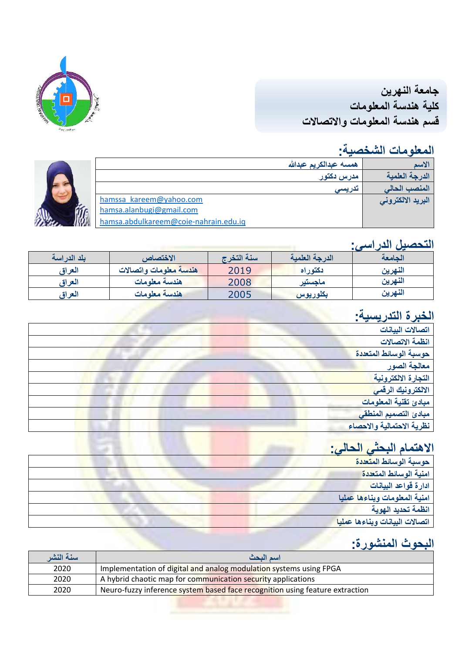**جامعة النهرين كلية هندسة المعلومات قسم هندسة المعلومات واالتصاالت**

## **المعلومات الشخصية:**

|                |                                       | همسه عبدالكريم عبدالله | الاسم             |
|----------------|---------------------------------------|------------------------|-------------------|
|                |                                       | مدرس دکتور             | الدرجة العلمية    |
|                |                                       | تدريسى                 | المنصب الحالم     |
|                | hamssa kareem@yahoo.com               |                        | البريد الالكترونى |
| イ<br>「<br>「……」 | hamsa.alanbugi@gmail.com              |                        |                   |
|                | hamsa.abdulkareem@coie-nahrain.edu.iq |                        |                   |



### **التحصيل الدراسي:**

| بلد الدراسة | الاختصاص               | سنة التخرج | الدرجة العلمية | الحامعة |
|-------------|------------------------|------------|----------------|---------|
| العراق      | هندسة معلومات واتصالات | 2019       | دكتوراه        | النهرين |
| العر اة     | هندسة معلومات          | 2008       | ماجستير        | النهرين |
| العراة      | هندسة معلومات          | 2005       | بكلوريوس       | النهرين |

# **الخبرة التدريسية:**

| --<br>$\tilde{\phantom{a}}$ |
|-----------------------------|
| اتصالات البيانات            |
| انظمة الاتصالات             |
| حوسبة الوسائط المتعددة      |
| معالجة الصور                |
| التجارة الالكترونية         |
| الالكترونيك الرق <i>مى</i>  |
| مبادئ تقنية المعلومات       |
| مبادئ التصميم المنطقي       |
| نظرية الاحتمالية والاحصاء   |
|                             |

## **االهتمام البحثي الحالي:**

| حوسبة الوسائط المتعددة         |
|--------------------------------|
| امنية الوسائط المتعددة         |
| ادارة قواعد البيانات           |
| امنية المعلومات وبناءها عمليا  |
| انظمة تحديد الهوية             |
| اتصالات البيانات وبناءها عمليا |

## **البحوث المنشورة:**

| سنة النشر | اسم البحث                                                                    |
|-----------|------------------------------------------------------------------------------|
| 2020      | Implementation of digital and analog modulation systems using FPGA           |
| 2020      | A hybrid chaotic map for communication security applications                 |
| 2020      | Neuro-fuzzy inference system based face recognition using feature extraction |
|           |                                                                              |